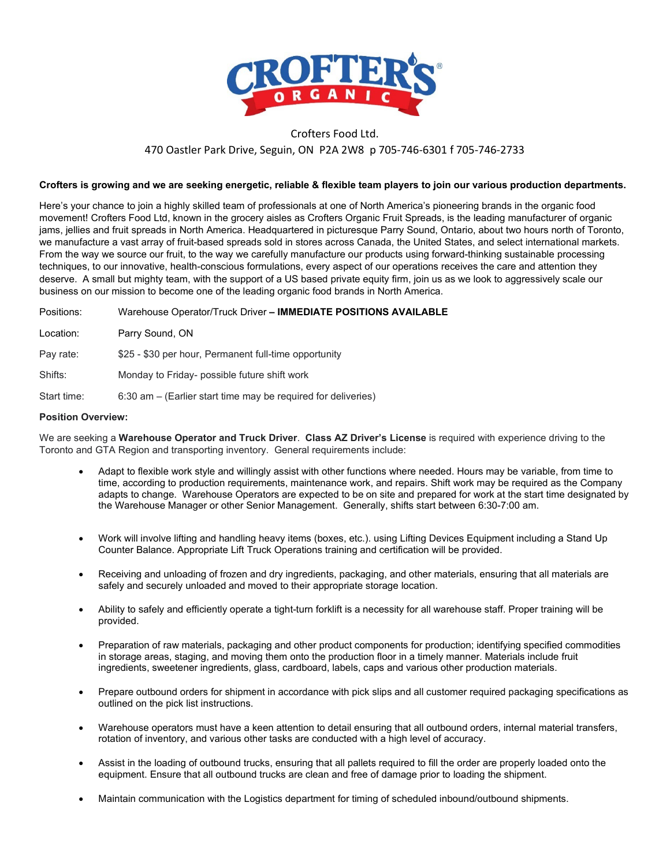

# Crofters Food Ltd. 470 Oastler Park Drive, Seguin, ON P2A 2W8 p 705-746-6301 f 705-746-2733

## **Crofters is growing and we are seeking energetic, reliable & flexible team players to join our various production departments.**

Here's your chance to join a highly skilled team of professionals at one of North America's pioneering brands in the organic food movement! Crofters Food Ltd, known in the grocery aisles as Crofters Organic Fruit Spreads, is the leading manufacturer of organic jams, jellies and fruit spreads in North America. Headquartered in picturesque Parry Sound, Ontario, about two hours north of Toronto, we manufacture a vast array of fruit-based spreads sold in stores across Canada, the United States, and select international markets. From the way we source our fruit, to the way we carefully manufacture our products using forward-thinking sustainable processing techniques, to our innovative, health-conscious formulations, every aspect of our operations receives the care and attention they deserve. A small but mighty team, with the support of a US based private equity firm, join us as we look to aggressively scale our business on our mission to become one of the leading organic food brands in North America.

| Positions:  | Warehouse Operator/Truck Driver - IMMEDIATE POSITIONS AVAILABLE |
|-------------|-----------------------------------------------------------------|
| Location:   | Parry Sound, ON                                                 |
| Pay rate:   | \$25 - \$30 per hour, Permanent full-time opportunity           |
| Shifts:     | Monday to Friday- possible future shift work                    |
| Start time: | 6:30 am - (Earlier start time may be required for deliveries)   |

### **Position Overview:**

We are seeking a **Warehouse Operator and Truck Driver**. **Class AZ Driver's License** is required with experience driving to the Toronto and GTA Region and transporting inventory. General requirements include:

- Adapt to flexible work style and willingly assist with other functions where needed. Hours may be variable, from time to time, according to production requirements, maintenance work, and repairs. Shift work may be required as the Company adapts to change. Warehouse Operators are expected to be on site and prepared for work at the start time designated by the Warehouse Manager or other Senior Management. Generally, shifts start between 6:30-7:00 am.
- Work will involve lifting and handling heavy items (boxes, etc.). using Lifting Devices Equipment including a Stand Up Counter Balance. Appropriate Lift Truck Operations training and certification will be provided.
- Receiving and unloading of frozen and dry ingredients, packaging, and other materials, ensuring that all materials are safely and securely unloaded and moved to their appropriate storage location.
- Ability to safely and efficiently operate a tight-turn forklift is a necessity for all warehouse staff. Proper training will be provided.
- Preparation of raw materials, packaging and other product components for production; identifying specified commodities in storage areas, staging, and moving them onto the production floor in a timely manner. Materials include fruit ingredients, sweetener ingredients, glass, cardboard, labels, caps and various other production materials.
- Prepare outbound orders for shipment in accordance with pick slips and all customer required packaging specifications as outlined on the pick list instructions.
- Warehouse operators must have a keen attention to detail ensuring that all outbound orders, internal material transfers, rotation of inventory, and various other tasks are conducted with a high level of accuracy.
- Assist in the loading of outbound trucks, ensuring that all pallets required to fill the order are properly loaded onto the equipment. Ensure that all outbound trucks are clean and free of damage prior to loading the shipment.
- Maintain communication with the Logistics department for timing of scheduled inbound/outbound shipments.